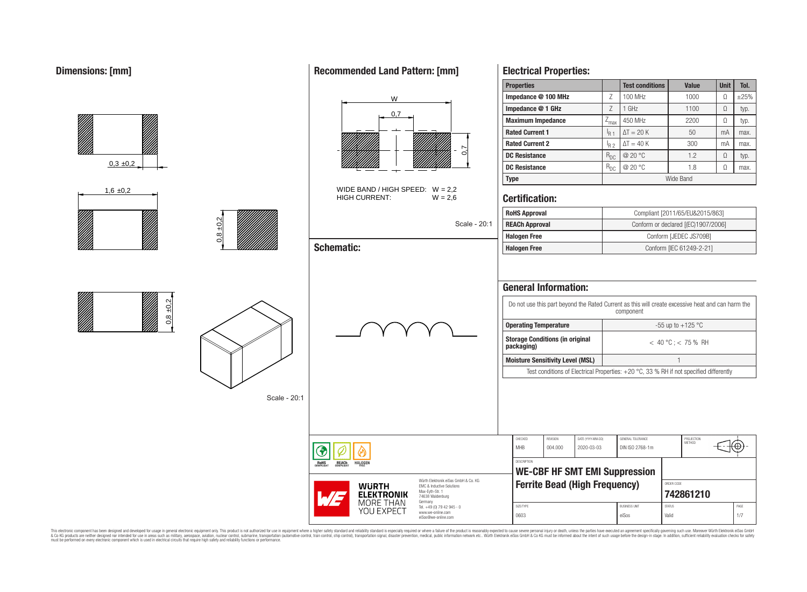|                  |               |                                                           |                                                                                                          | <b>Properties</b>                                                                                                                                                                                                                                                                          |                                                                                                             | <b>Test conditions</b>         | <b>Value</b>                                         | <b>Unit</b> | Tol.      |
|------------------|---------------|-----------------------------------------------------------|----------------------------------------------------------------------------------------------------------|--------------------------------------------------------------------------------------------------------------------------------------------------------------------------------------------------------------------------------------------------------------------------------------------|-------------------------------------------------------------------------------------------------------------|--------------------------------|------------------------------------------------------|-------------|-----------|
|                  |               | W                                                         |                                                                                                          | Impedance @ 100 MHz                                                                                                                                                                                                                                                                        | $\mathsf Z$                                                                                                 | 100 MHz                        | 1000                                                 | $\Omega$    | $\pm 25%$ |
|                  |               | 0,7                                                       |                                                                                                          | Impedance @ 1 GHz                                                                                                                                                                                                                                                                          | $\ensuremath{\mathsf{Z}}$                                                                                   | $1$ GHz                        | 1100                                                 | $\Omega$    | typ.      |
|                  |               |                                                           |                                                                                                          | <b>Maximum Impedance</b>                                                                                                                                                                                                                                                                   | $Z_{\text{max}}$                                                                                            | 450 MHz                        | 2200                                                 | $\Omega$    | typ.      |
|                  |               |                                                           |                                                                                                          | <b>Rated Current 1</b>                                                                                                                                                                                                                                                                     | $I_{R1}$                                                                                                    | $\Delta T = 20 K$              | 50                                                   | mA          | max.      |
|                  |               |                                                           | r                                                                                                        | <b>Rated Current 2</b>                                                                                                                                                                                                                                                                     | $I_{R2}$                                                                                                    | $\Delta T = 40 K$              | 300                                                  | mA          | max.      |
|                  |               |                                                           | ට                                                                                                        | <b>DC Resistance</b>                                                                                                                                                                                                                                                                       | $R_{DC}$                                                                                                    | @ 20 $^{\circ}$ C              | 1.2                                                  | $\Omega$    | typ.      |
| $0,3 \pm 0,2$    |               |                                                           |                                                                                                          | <b>DC Resistance</b>                                                                                                                                                                                                                                                                       | $\rm R_{DC}$                                                                                                | @ 20 $^{\circ}$ C              | 1.8                                                  | $\Omega$    | max.      |
|                  |               |                                                           |                                                                                                          | <b>Type</b>                                                                                                                                                                                                                                                                                |                                                                                                             |                                | Wide Band                                            |             |           |
| $1,6 \pm 0,2$    |               | WIDE BAND / HIGH SPEED: $W = 2,2$<br><b>HIGH CURRENT:</b> | $W = 2.6$                                                                                                | <b>Certification:</b>                                                                                                                                                                                                                                                                      |                                                                                                             |                                |                                                      |             |           |
|                  |               |                                                           |                                                                                                          | <b>RoHS Approval</b>                                                                                                                                                                                                                                                                       |                                                                                                             |                                | Compliant [2011/65/EU&2015/863]                      |             |           |
|                  | $\frac{2}{3}$ |                                                           | Scale - 20:1                                                                                             | <b>REACh Approval</b>                                                                                                                                                                                                                                                                      |                                                                                                             |                                | Conform or declared [(EC)1907/2006]                  |             |           |
|                  | $\frac{8}{2}$ |                                                           |                                                                                                          | <b>Halogen Free</b>                                                                                                                                                                                                                                                                        |                                                                                                             |                                | Conform [JEDEC JS709B]                               |             |           |
|                  |               | <b>Schematic:</b>                                         |                                                                                                          | <b>Halogen Free</b>                                                                                                                                                                                                                                                                        |                                                                                                             |                                | Conform [IEC 61249-2-21]                             |             |           |
| $\pm 0.2$<br>0,8 | Scale - 20:1  |                                                           |                                                                                                          | <b>General Information:</b><br>Do not use this part beyond the Rated Current as this will create excessive heat and can harm the<br><b>Operating Temperature</b><br><b>Storage Conditions (in original</b><br>packaging)<br><b>Moisture Sensitivity Level (MSL)</b><br>CHECKED<br>REVISION | Test conditions of Electrical Properties: +20 °C, 33 % RH if not specified differently<br>DATE (YYYY-MM-DD) | component<br>GENERAL TOLERANCE | -55 up to +125 $^{\circ}$ C<br>$< 40 °C$ ; < 75 % RH |             |           |
|                  |               | ◈<br><b>ROHS</b><br><b>REACh</b><br><b>HALOGEM</b>        |                                                                                                          | <b>MHB</b><br>004.000<br>DESCRIPTION                                                                                                                                                                                                                                                       | 2020-03-03<br><b>WE-CBF HF SMT EMI Suppression</b>                                                          | DIN ISO 2768-1m                | PROJECTION<br>METHOD                                 |             | ⊕         |
|                  |               | <b>WURTH</b><br><b>ELEKTRONIK</b>                         | Würth Elektronik eiSos GmbH & Co. KG<br>EMC & Inductive Solutions<br>Max-Eyth-Str. 1<br>74638 Waldenburg |                                                                                                                                                                                                                                                                                            | <b>Ferrite Bead (High Frequency)</b>                                                                        |                                | ORDER CODE<br>742861210                              |             |           |
|                  |               | <b>MORE THAN</b><br>YOU EXPECT                            | Germany<br>Tel. +49 (0) 79 42 945 - 0<br>www.we-online.com                                               | SIZE/TYPE                                                                                                                                                                                                                                                                                  |                                                                                                             | <b>BUSINESS UNIT</b>           | <b>STATUS</b>                                        |             | PAGE      |
|                  |               |                                                           | eiSos@we-online.com                                                                                      | 0603                                                                                                                                                                                                                                                                                       |                                                                                                             | eiSos                          | Valid                                                |             | $1/7$     |

This electronic component has been designed and developed for usage in general electronic equipment only. This product is not authorized for subserved requipment where a higher selection equipment where a higher selection

# **Recommended Land Pattern: [mm]**

**Electrical Properties:**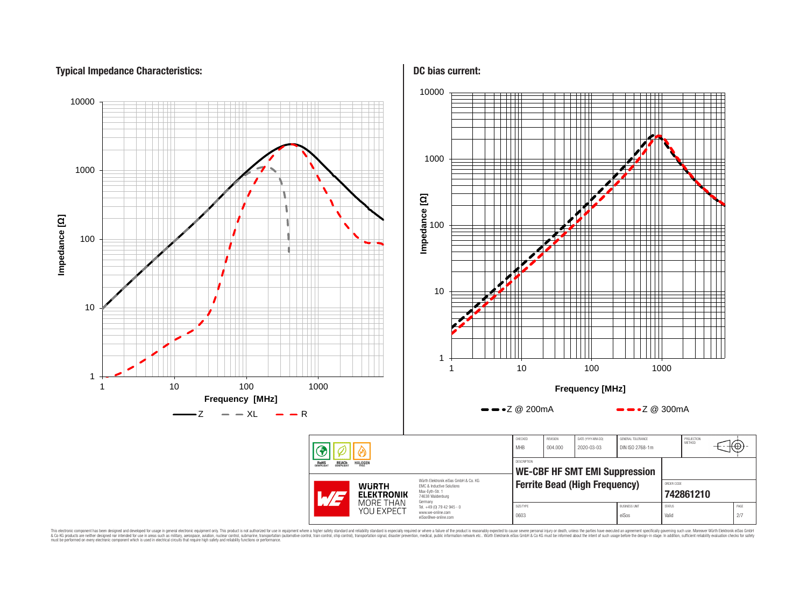# **Typical Impedance Characteristics:**



This electronic component has been designed and developed for usage in general electronic equipment only. This product is not authorized for use in equipment where a higher safely standard and reliability standard si espec & Ook product a label and the membed of the seasuch as marked and as which such a membed and the such assume that income in the seasuch and the simulation and the such assume that include to the such a membed and the such

# **DC bias current:**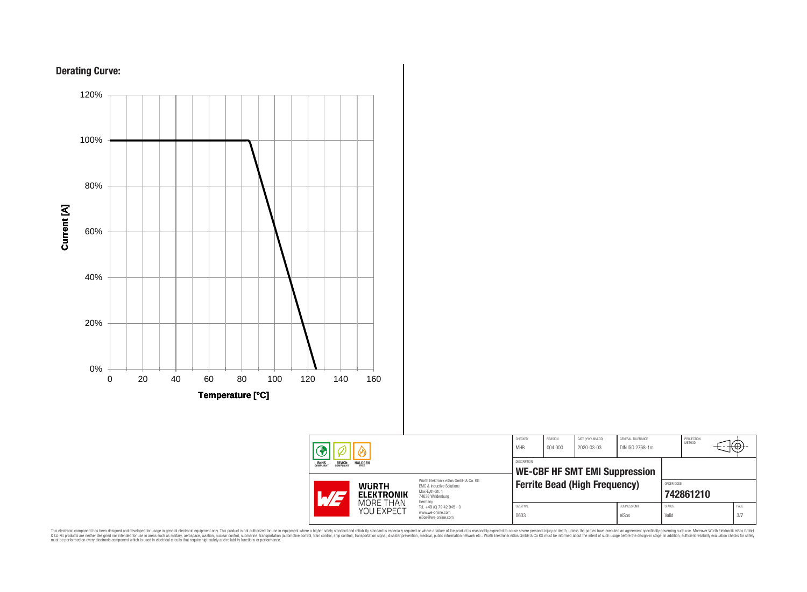





This electronic component has been designed and developed for usage in general electronic equipment only. This product is not authorized for subserved requipment where a higher selection equipment where a higher selection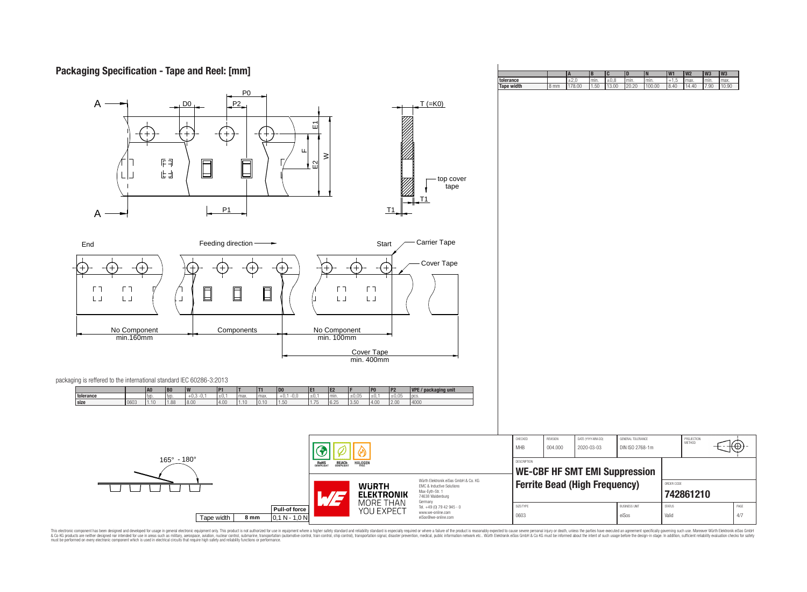# **Packaging Specification - Tape and Reel: [mm]**

| $\mathsf{A}$<br>DO <sub>1</sub>                                                                                                                                                                     | P <sub>0</sub><br>P2<br>핀<br>ш                                                         | $\geq$                                                                                                                                                                                 | $T (=K0)$                                                              |                                      |          |                                      |                               |                         |    |             |
|-----------------------------------------------------------------------------------------------------------------------------------------------------------------------------------------------------|----------------------------------------------------------------------------------------|----------------------------------------------------------------------------------------------------------------------------------------------------------------------------------------|------------------------------------------------------------------------|--------------------------------------|----------|--------------------------------------|-------------------------------|-------------------------|----|-------------|
| 旧印<br>$\Box$<br>上山<br>A                                                                                                                                                                             | F<br>.<br>E2<br>ᆸ<br>P1                                                                | T1                                                                                                                                                                                     | top cover<br>tape<br>T1                                                |                                      |          |                                      |                               |                         |    |             |
| End                                                                                                                                                                                                 | Feeding direction-<br>→                                                                | Start                                                                                                                                                                                  | Carrier Tape                                                           |                                      |          |                                      |                               |                         |    |             |
| $(+)$<br>ГП<br>ГП<br>$\Box$<br>$\mathsf{L}\,\mathsf{J}$<br>$\mathsf{L}\,\mathsf{J}$<br>$\perp$<br>No Component<br>min.160mm<br>packaging is reffered to the international standard IEC 60286-3:2013 | $+$<br>$^+$<br>$\Box$<br>$\Box$<br>Components                                          | $(+)$<br>$^{+}$<br>$\Gamma$ $\bar{\Gamma}$<br>$\Gamma$ $\bar{\Gamma}$<br>$\mathsf{L}\,\mathsf{J}$<br>$\mathsf{L}\,\mathsf{J}$<br>No Component<br>min. 100mm<br>Cover Tape<br>min.400mm | Cover Tape                                                             |                                      |          |                                      |                               |                         |    |             |
| A0<br>B <sub>0</sub><br>tolerance<br>$+0,3 -0,1$<br>typ.<br>typ.                                                                                                                                    | <b>P1</b><br>T1<br> D0 <br>E1<br>$+0,1 -0,0$<br>$\pm 0,1$<br>$\pm$ 0,1<br>max.<br>max. | P2<br>P <sub>0</sub><br>IE <sub>2</sub><br>±0,05<br>±0,05<br>±0.1<br>I <sub>min</sub><br>pcs.                                                                                          | VPE / packaging unit                                                   |                                      |          |                                      |                               |                         |    |             |
| size<br>0603<br>1.10<br>1.88<br>8.00                                                                                                                                                                | 4.00<br>1.10<br> 0.10 <br>1.50<br>1.75                                                 | 4000<br>6.25<br>3.50<br>4.00<br>2.00                                                                                                                                                   |                                                                        | CHECKED                              | REVISION | DATE (YYYY-MM-DD)                    | GENERAL TOLERANCE             | PROJECTION<br>METHOD    |    |             |
| $165^{\circ} - 180^{\circ}$                                                                                                                                                                         |                                                                                        |                                                                                                                                                                                        |                                                                        | MHB                                  | 004.000  | 2020-03-03                           | DIN ISO 2768-1m               |                         | ਼⊕ |             |
|                                                                                                                                                                                                     |                                                                                        | <b>ROHS</b><br>COMPLIANT<br><b>REACH</b><br>COMPLIANT<br><b>HALOGEN</b>                                                                                                                |                                                                        | DESCRIPTION                          |          | <b>WE-CBF HF SMT EMI Suppression</b> |                               |                         |    |             |
|                                                                                                                                                                                                     |                                                                                        | Würth Elektronik eiSos GmbH & Co. KG<br><b>WURTH</b><br>EMC & Inductive Solutions<br>Max-Eyth-Str. 1<br><b>ELEKTRONIK</b><br>WĘ<br>74638 Waldenburg<br>MORE THAN<br>Germany            |                                                                        | <b>Ferrite Bead (High Frequency)</b> |          |                                      |                               | ORDER CODE<br>742861210 |    |             |
|                                                                                                                                                                                                     | Pull-of force<br>Tape width<br>8 <sub>mm</sub><br>$0,1 N - 1,0 N$                      | YOU EXPECT                                                                                                                                                                             | Tel. +49 (0) 79 42 945 - 0<br>www.we-online.com<br>eiSos@we-online.com | SIZE/TYPE<br>0603                    |          |                                      | <b>BUSINESS UNIT</b><br>eiSos | <b>STATUS</b><br>Valid  |    | PAGE<br>4/7 |
|                                                                                                                                                                                                     |                                                                                        |                                                                                                                                                                                        |                                                                        |                                      |          |                                      |                               |                         |    |             |

**A B C D N W1 W2 W3 W3 tolerance** ±2,0 min. ±0,8 min. min. +1,5 max. min. max. **Tape width** 8 mm 178.00 1.50 13.00 20.20 100.00 8.40 14.40 7.90 10.90

This electronic component has been designed and developed for usage in general electronic equipment only. This product is not authorized for subserved requipment where a higher selection equipment where a higher selection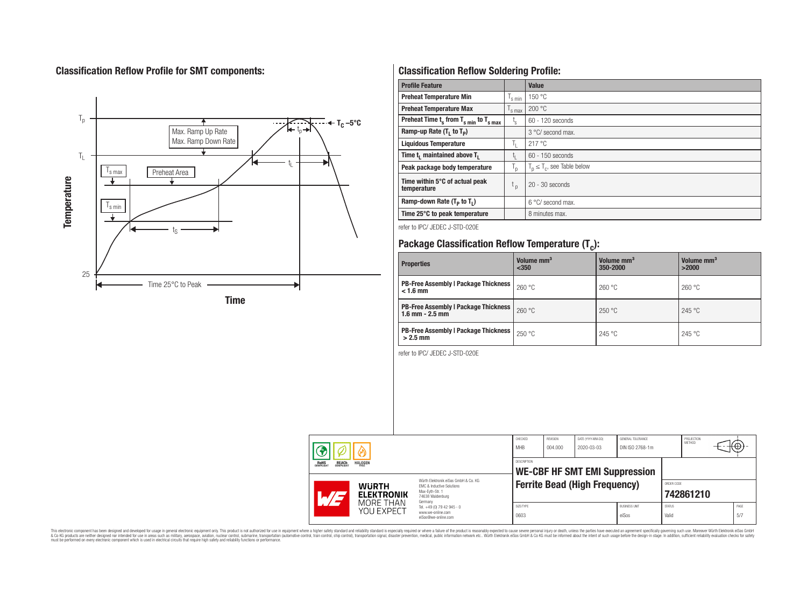# **Classification Reflow Profile for SMT components:**



# **Classification Reflow Soldering Profile:**

| <b>Profile Feature</b>                              |                | Value                            |
|-----------------------------------------------------|----------------|----------------------------------|
| <b>Preheat Temperature Min</b>                      | s min          | 150 °C                           |
| <b>Preheat Temperature Max</b>                      | 's max         | 200 °C                           |
| Preheat Time $t_s$ from $T_{s min}$ to $T_{s max}$  | $t_{\rm s}$    | 60 - 120 seconds                 |
| Ramp-up Rate $(T_1$ to $T_p$ )                      |                | 3 °C/ second max.                |
| <b>Liquidous Temperature</b>                        | h.             | 217°C                            |
| Time t <sub>1</sub> maintained above T <sub>1</sub> | t <sub>ı</sub> | $60 - 150$ seconds               |
| Peak package body temperature                       | י"             | $T_p \leq T_c$ , see Table below |
| Time within 5°C of actual peak<br>temperature       | t <sub>p</sub> | $20 - 30$ seconds                |
| Ramp-down Rate $(T_p$ to $T_1$ )                    |                | 6 °C/ second max.                |
| Time 25°C to peak temperature                       |                | 8 minutes max.                   |

refer to IPC/ JEDEC J-STD-020E

# **Package Classification Reflow Temperature (T<sup>c</sup> ):**

| <b>Properties</b>                                                  | Volume mm <sup>3</sup><br>$350$ | Volume mm <sup>3</sup><br>350-2000 | Volume mm <sup>3</sup><br>>2000 |
|--------------------------------------------------------------------|---------------------------------|------------------------------------|---------------------------------|
| <b>PB-Free Assembly   Package Thickness</b><br>$< 1.6$ mm          | 260 °C                          | 260 °C                             | 260 °C                          |
| <b>PB-Free Assembly   Package Thickness</b><br>$1.6$ mm $- 2.5$ mm | 260 °C                          | 250 °C                             | 245 °C                          |
| <b>PB-Free Assembly   Package Thickness  </b><br>$>2.5$ mm         | 250 °C                          | 245 °C                             | 245 °C                          |

refer to IPC/ JEDEC J-STD-020E

| <b>HALOGEN</b><br><b>ROHS</b><br>COMPLIANT<br><b>REACH</b><br>COMPLIANT |                                   | CHECKED<br><b>MHB</b>                                                                                               | REVISION<br>004.000 | DATE (YYYY-MM-DD)<br>2020-03-03 | GENERAL TOLERANCE<br>DIN ISO 2768-1m |                               | PROJECTION<br>METHOD   | €Θ        |             |
|-------------------------------------------------------------------------|-----------------------------------|---------------------------------------------------------------------------------------------------------------------|---------------------|---------------------------------|--------------------------------------|-------------------------------|------------------------|-----------|-------------|
|                                                                         |                                   | DESCRIPTION<br><b>WE-CBF HF SMT EMI Suppression</b>                                                                 |                     |                                 |                                      |                               |                        |           |             |
| $\mathcal{A}/\mathcal{A}$                                               | <b>WURTH</b><br><b>ELEKTRONIK</b> | Würth Flektronik eiSos GmbH & Co. KG<br>FMC & Inductive Solutions<br>Max-Evth-Str. 1<br>74638 Waldenburg<br>Germany |                     |                                 | <b>Ferrite Bead (High Frequency)</b> |                               | ORDER CODE             | 742861210 |             |
|                                                                         | MORE THAN<br>YOU EXPECT           | Tel. +49 (0) 79 42 945 - 0<br>www.we-online.com<br>eiSos@we-online.com                                              | SIZE/TYPE<br>0603   |                                 |                                      | <b>BUSINESS UNIT</b><br>eiSos | <b>STATUS</b><br>Valid |           | PAGE<br>5/7 |

This electronic component has been designed and developed for usage in general electronic equipment only. This product is not authorized for subserved requipment where a higher selection equipment where a higher selection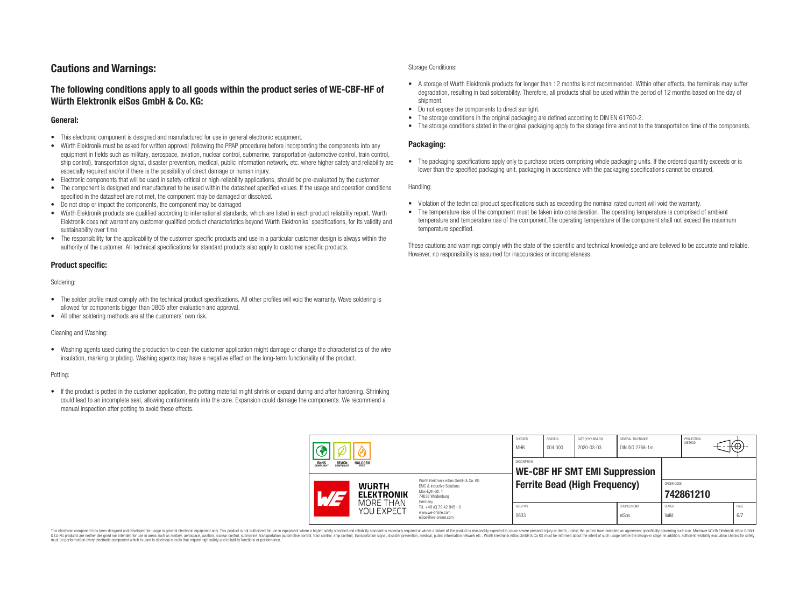# **Cautions and Warnings:**

# **The following conditions apply to all goods within the product series of WE-CBF-HF of Würth Elektronik eiSos GmbH & Co. KG:**

### **General:**

- This electronic component is designed and manufactured for use in general electronic equipment.
- Würth Elektronik must be asked for written approval (following the PPAP procedure) before incorporating the components into any equipment in fields such as military, aerospace, aviation, nuclear control, submarine, transportation (automotive control, train control, ship control), transportation signal, disaster prevention, medical, public information network, etc. where higher safety and reliability are especially required and/or if there is the possibility of direct damage or human injury.
- Electronic components that will be used in safety-critical or high-reliability applications, should be pre-evaluated by the customer.
- The component is designed and manufactured to be used within the datasheet specified values. If the usage and operation conditions specified in the datasheet are not met, the component may be damaged or dissolved.
- Do not drop or impact the components, the component may be damaged
- Würth Elektronik products are qualified according to international standards, which are listed in each product reliability report. Würth Elektronik does not warrant any customer qualified product characteristics beyond Würth Elektroniks' specifications, for its validity and sustainability over time.
- The responsibility for the applicability of the customer specific products and use in a particular customer design is always within the authority of the customer. All technical specifications for standard products also apply to customer specific products.

## **Product specific:**

Soldering:

- The solder profile must comply with the technical product specifications. All other profiles will void the warranty. Wave soldering is allowed for components bigger than 0805 after evaluation and approval.
- All other soldering methods are at the customers' own risk.

#### Cleaning and Washing:

• Washing agents used during the production to clean the customer application might damage or change the characteristics of the wire insulation, marking or plating. Washing agents may have a negative effect on the long-term functionality of the product.

#### Potting:

• If the product is potted in the customer application, the potting material might shrink or expand during and after hardening. Shrinking could lead to an incomplete seal, allowing contaminants into the core. Expansion could damage the components. We recommend a manual inspection after potting to avoid these effects.

#### Storage Conditions:

- A storage of Würth Elektronik products for longer than 12 months is not recommended. Within other effects, the terminals may suffer degradation, resulting in bad solderability. Therefore, all products shall be used within the period of 12 months based on the day of shipment.
- Do not expose the components to direct sunlight.
- The storage conditions in the original packaging are defined according to DIN EN 61760-2.
- The storage conditions stated in the original packaging apply to the storage time and not to the transportation time of the components.

### **Packaging:**

• The packaging specifications apply only to purchase orders comprising whole packaging units. If the ordered quantity exceeds or is lower than the specified packaging unit, packaging in accordance with the packaging specifications cannot be ensured.

Handling:

- Violation of the technical product specifications such as exceeding the nominal rated current will void the warranty.
- The temperature rise of the component must be taken into consideration. The operating temperature is comprised of ambient temperature and temperature rise of the component.The operating temperature of the component shall not exceed the maximum temperature specified.

These cautions and warnings comply with the state of the scientific and technical knowledge and are believed to be accurate and reliable. However, no responsibility is assumed for inaccuracies or incompleteness.

| <b>HALOGEN</b><br>REACH<br>COMPLIANT<br>ROHS<br>COMPLIANT |                                                                                                                                                                                               | CHECKED<br><b>MHB</b>                                      | REVISION<br>004.000 | DATE (YYYY-MM-DD)<br>2020-03-03      | GENERAL TOLERANCE<br>DIN ISO 2768-1m |                        | PROJECTION<br><b>METHOD</b> | ťΨ          |
|-----------------------------------------------------------|-----------------------------------------------------------------------------------------------------------------------------------------------------------------------------------------------|------------------------------------------------------------|---------------------|--------------------------------------|--------------------------------------|------------------------|-----------------------------|-------------|
|                                                           |                                                                                                                                                                                               | <b>DESCRIPTION</b><br><b>WE-CBF HF SMT EMI Suppression</b> |                     |                                      |                                      |                        |                             |             |
| <b>WURTH</b><br><b>ELEKTRONIK</b>                         | Würth Elektronik eiSos GmbH & Co. KG<br>EMC & Inductive Solutions<br>Max-Eyth-Str. 1<br>74638 Waldenburg<br>Germany<br>Tel. +49 (0) 79 42 945 - 0<br>www.we-online.com<br>eiSos@we-online.com |                                                            |                     | <b>Ferrite Bead (High Frequency)</b> |                                      | ORDER CODE             | 742861210                   |             |
| MORF THAN<br>YOU EXPECT                                   |                                                                                                                                                                                               | SIZE/TYPE<br>0603                                          |                     |                                      | <b>BUSINESS UNIT</b><br>eiSos        | <b>STATUS</b><br>Valid |                             | PAGE<br>6/7 |

This electronic component has been designed and developed for usage in general electronic equipment only. This product is not authorized for use in equipment where a higher safety standard and reliability standard si espec & Ook product a label and the membed of the seasuch as marked and as which such a membed and the such assume that income in the seasuch and the simulation and the such assume that include to the such a membed and the such